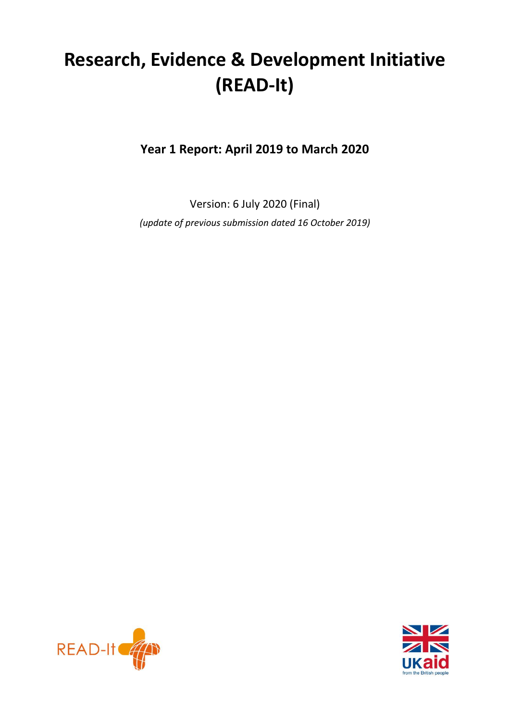# **Research, Evidence & Development Initiative (READ-It)**

**Year 1 Report: April 2019 to March 2020**

Version: 6 July 2020 (Final) *(update of previous submission dated 16 October 2019)*



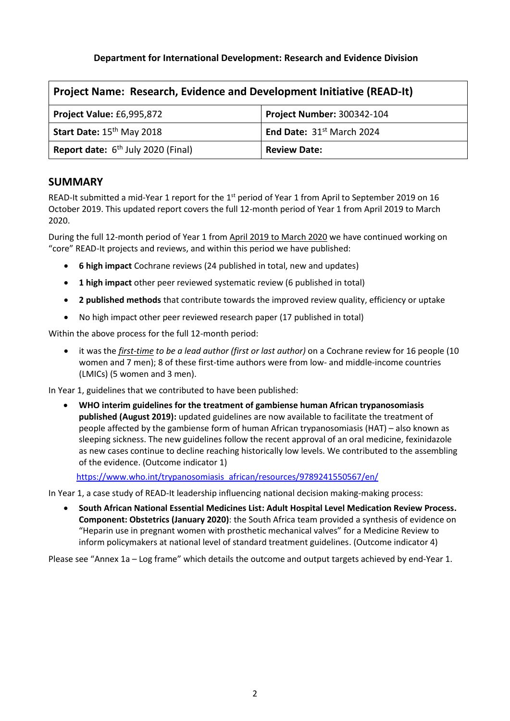# **Department for International Development: Research and Evidence Division**

| <b>Project Name: Research, Evidence and Development Initiative (READ-It)</b> |  |  |  |  |
|------------------------------------------------------------------------------|--|--|--|--|
| <b>Project Number: 300342-104</b><br><b>Project Value: £6,995,872</b>        |  |  |  |  |
| Start Date: 15 <sup>th</sup> May 2018<br>End Date: $31st$ March 2024         |  |  |  |  |
| <b>Report date:</b> $6th$ July 2020 (Final)<br><b>Review Date:</b>           |  |  |  |  |

# **SUMMARY**

READ-It submitted a mid-Year 1 report for the  $1<sup>st</sup>$  period of Year 1 from April to September 2019 on 16 October 2019. This updated report covers the full 12-month period of Year 1 from April 2019 to March 2020.

During the full 12-month period of Year 1 from April 2019 to March 2020 we have continued working on "core" READ-It projects and reviews, and within this period we have published:

- **6 high impact** Cochrane reviews (24 published in total, new and updates)
- **1 high impact** other peer reviewed systematic review (6 published in total)
- **2 published methods** that contribute towards the improved review quality, efficiency or uptake
- No high impact other peer reviewed research paper (17 published in total)

Within the above process for the full 12-month period:

• it was the *first-time to be a lead author (first or last author)* on a Cochrane review for 16 people (10 women and 7 men); 8 of these first-time authors were from low- and middle-income countries (LMICs) (5 women and 3 men).

In Year 1, guidelines that we contributed to have been published:

• **WHO interim guidelines for the treatment of gambiense human African trypanosomiasis published (August 2019):** updated guidelines are now available to facilitate the treatment of people affected by the gambiense form of human African trypanosomiasis (HAT) – also known as sleeping sickness. The new guidelines follow the recent approval of an oral medicine, fexinidazole as new cases continue to decline reaching historically low levels. We contributed to the assembling of the evidence. (Outcome indicator 1)

[https://www.who.int/trypanosomiasis\\_african/resources/9789241550567/en/](https://protect-eu.mimecast.com/s/ePmJC7pm0iyAzBi8iroS?domain=who.int)

In Year 1, a case study of READ-It leadership influencing national decision making-making process:

• **South African National Essential Medicines List: Adult Hospital Level Medication Review Process. Component: Obstetrics (January 2020)**: the South Africa team provided a synthesis of evidence on "Heparin use in pregnant women with prosthetic mechanical valves" for a Medicine Review to inform policymakers at national level of standard treatment guidelines. (Outcome indicator 4)

Please see "Annex 1a – Log frame" which details the outcome and output targets achieved by end-Year 1.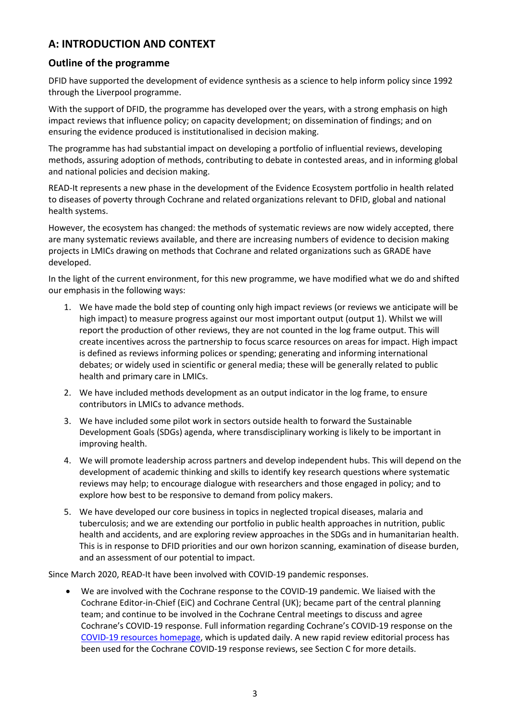# **A: INTRODUCTION AND CONTEXT**

# **Outline of the programme**

DFID have supported the development of evidence synthesis as a science to help inform policy since 1992 through the Liverpool programme.

With the support of DFID, the programme has developed over the years, with a strong emphasis on high impact reviews that influence policy; on capacity development; on dissemination of findings; and on ensuring the evidence produced is institutionalised in decision making.

The programme has had substantial impact on developing a portfolio of influential reviews, developing methods, assuring adoption of methods, contributing to debate in contested areas, and in informing global and national policies and decision making.

READ-It represents a new phase in the development of the Evidence Ecosystem portfolio in health related to diseases of poverty through Cochrane and related organizations relevant to DFID, global and national health systems.

However, the ecosystem has changed: the methods of systematic reviews are now widely accepted, there are many systematic reviews available, and there are increasing numbers of evidence to decision making projects in LMICs drawing on methods that Cochrane and related organizations such as GRADE have developed.

In the light of the current environment, for this new programme, we have modified what we do and shifted our emphasis in the following ways:

- 1. We have made the bold step of counting only high impact reviews (or reviews we anticipate will be high impact) to measure progress against our most important output (output 1). Whilst we will report the production of other reviews, they are not counted in the log frame output. This will create incentives across the partnership to focus scarce resources on areas for impact. High impact is defined as reviews informing polices or spending; generating and informing international debates; or widely used in scientific or general media; these will be generally related to public health and primary care in LMICs.
- 2. We have included methods development as an output indicator in the log frame, to ensure contributors in LMICs to advance methods.
- 3. We have included some pilot work in sectors outside health to forward the Sustainable Development Goals (SDGs) agenda, where transdisciplinary working is likely to be important in improving health.
- 4. We will promote leadership across partners and develop independent hubs. This will depend on the development of academic thinking and skills to identify key research questions where systematic reviews may help; to encourage dialogue with researchers and those engaged in policy; and to explore how best to be responsive to demand from policy makers.
- 5. We have developed our core business in topics in neglected tropical diseases, malaria and tuberculosis; and we are extending our portfolio in public health approaches in nutrition, public health and accidents, and are exploring review approaches in the SDGs and in humanitarian health. This is in response to DFID priorities and our own horizon scanning, examination of disease burden, and an assessment of our potential to impact.

Since March 2020, READ-It have been involved with COVID-19 pandemic responses.

• We are involved with the Cochrane response to the COVID-19 pandemic. We liaised with the Cochrane Editor-in-Chief (EiC) and Cochrane Central (UK); became part of the central planning team; and continue to be involved in the Cochrane Central meetings to discuss and agree Cochrane's COVID-19 response. Full information regarding Cochrane's COVID-19 response on the COVID-19 [resources homepage,](https://protect-eu.mimecast.com/s/FVY1Cl2lgUKE7DHGS894?domain=cochrane.org) which is updated daily. A new rapid review editorial process has been used for the Cochrane COVID-19 response reviews, see Section C for more details.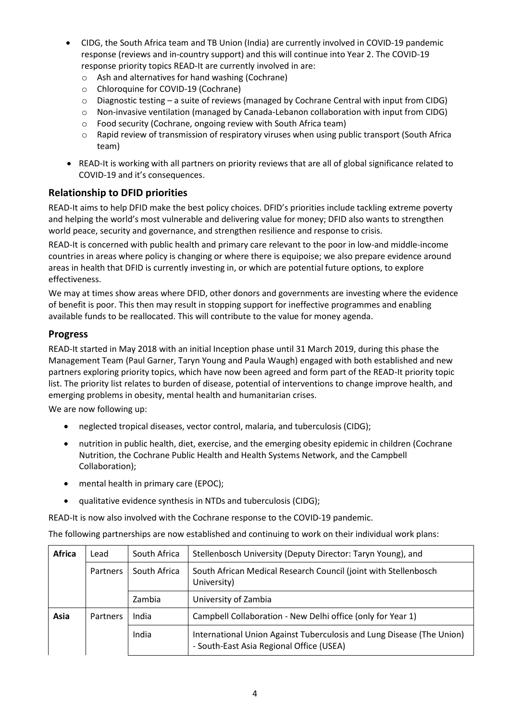- CIDG, the South Africa team and TB Union (India) are currently involved in COVID-19 pandemic response (reviews and in-country support) and this will continue into Year 2. The COVID-19 response priority topics READ-It are currently involved in are:
	- o Ash and alternatives for hand washing (Cochrane)
	- o Chloroquine for COVID-19 (Cochrane)
	- $\circ$  Diagnostic testing a suite of reviews (managed by Cochrane Central with input from CIDG)
	- o Non-invasive ventilation (managed by Canada-Lebanon collaboration with input from CIDG)
	- o Food security (Cochrane, ongoing review with South Africa team)
	- $\circ$  Rapid review of transmission of respiratory viruses when using public transport (South Africa team)
- READ-It is working with all partners on priority reviews that are all of global significance related to COVID-19 and it's consequences.

# **Relationship to DFID priorities**

READ-It aims to help DFID make the best policy choices. DFID's priorities include tackling extreme poverty and helping the world's most vulnerable and delivering value for money; DFID also wants to strengthen world peace, security and governance, and strengthen resilience and response to crisis.

READ-It is concerned with public health and primary care relevant to the poor in low-and middle-income countries in areas where policy is changing or where there is equipoise; we also prepare evidence around areas in health that DFID is currently investing in, or which are potential future options, to explore effectiveness.

We may at times show areas where DFID, other donors and governments are investing where the evidence of benefit is poor. This then may result in stopping support for ineffective programmes and enabling available funds to be reallocated. This will contribute to the value for money agenda.

### **Progress**

READ-It started in May 2018 with an initial Inception phase until 31 March 2019, during this phase the Management Team (Paul Garner, Taryn Young and Paula Waugh) engaged with both established and new partners exploring priority topics, which have now been agreed and form part of the READ-It priority topic list. The priority list relates to burden of disease, potential of interventions to change improve health, and emerging problems in obesity, mental health and humanitarian crises.

We are now following up:

- neglected tropical diseases, vector control, malaria, and tuberculosis (CIDG);
- nutrition in public health, diet, exercise, and the emerging obesity epidemic in children (Cochrane Nutrition, the Cochrane Public Health and Health Systems Network, and the Campbell Collaboration);
- mental health in primary care (EPOC);
- qualitative evidence synthesis in NTDs and tuberculosis (CIDG);

READ-It is now also involved with the Cochrane response to the COVID-19 pandemic.

The following partnerships are now established and continuing to work on their individual work plans:

| Africa | Lead            | South Africa | Stellenbosch University (Deputy Director: Taryn Young), and                                                       |
|--------|-----------------|--------------|-------------------------------------------------------------------------------------------------------------------|
|        | <b>Partners</b> | South Africa | South African Medical Research Council (joint with Stellenbosch<br>University)                                    |
|        |                 | Zambia       | University of Zambia                                                                                              |
| Asia   | <b>Partners</b> | India        | Campbell Collaboration - New Delhi office (only for Year 1)                                                       |
|        |                 | India        | International Union Against Tuberculosis and Lung Disease (The Union)<br>- South-East Asia Regional Office (USEA) |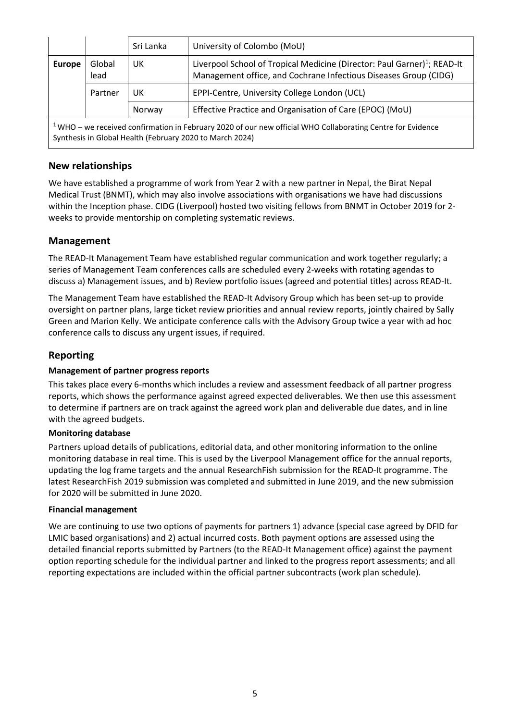|                                                                                                                                                                           |                | Sri Lanka | University of Colombo (MoU)                                                                                                                              |  |  |  |
|---------------------------------------------------------------------------------------------------------------------------------------------------------------------------|----------------|-----------|----------------------------------------------------------------------------------------------------------------------------------------------------------|--|--|--|
| <b>Europe</b>                                                                                                                                                             | Global<br>lead | UK        | Liverpool School of Tropical Medicine (Director: Paul Garner) <sup>1</sup> ; READ-It<br>Management office, and Cochrane Infectious Diseases Group (CIDG) |  |  |  |
|                                                                                                                                                                           | Partner        | UK        | EPPI-Centre, University College London (UCL)                                                                                                             |  |  |  |
|                                                                                                                                                                           |                | Norway    | Effective Practice and Organisation of Care (EPOC) (MoU)                                                                                                 |  |  |  |
| $1$ WHO – we received confirmation in February 2020 of our new official WHO Collaborating Centre for Evidence<br>Synthesis in Global Health (February 2020 to March 2024) |                |           |                                                                                                                                                          |  |  |  |

# **New relationships**

We have established a programme of work from Year 2 with a new partner in Nepal, the Birat Nepal Medical Trust (BNMT), which may also involve associations with organisations we have had discussions within the Inception phase. CIDG (Liverpool) hosted two visiting fellows from BNMT in October 2019 for 2 weeks to provide mentorship on completing systematic reviews.

# **Management**

The READ-It Management Team have established regular communication and work together regularly; a series of Management Team conferences calls are scheduled every 2-weeks with rotating agendas to discuss a) Management issues, and b) Review portfolio issues (agreed and potential titles) across READ-It.

The Management Team have established the READ-It Advisory Group which has been set-up to provide oversight on partner plans, large ticket review priorities and annual review reports, jointly chaired by Sally Green and Marion Kelly. We anticipate conference calls with the Advisory Group twice a year with ad hoc conference calls to discuss any urgent issues, if required.

# **Reporting**

#### **Management of partner progress reports**

This takes place every 6-months which includes a review and assessment feedback of all partner progress reports, which shows the performance against agreed expected deliverables. We then use this assessment to determine if partners are on track against the agreed work plan and deliverable due dates, and in line with the agreed budgets.

#### **Monitoring database**

Partners upload details of publications, editorial data, and other monitoring information to the online monitoring database in real time. This is used by the Liverpool Management office for the annual reports, updating the log frame targets and the annual ResearchFish submission for the READ-It programme. The latest ResearchFish 2019 submission was completed and submitted in June 2019, and the new submission for 2020 will be submitted in June 2020.

#### **Financial management**

We are continuing to use two options of payments for partners 1) advance (special case agreed by DFID for LMIC based organisations) and 2) actual incurred costs. Both payment options are assessed using the detailed financial reports submitted by Partners (to the READ-It Management office) against the payment option reporting schedule for the individual partner and linked to the progress report assessments; and all reporting expectations are included within the official partner subcontracts (work plan schedule).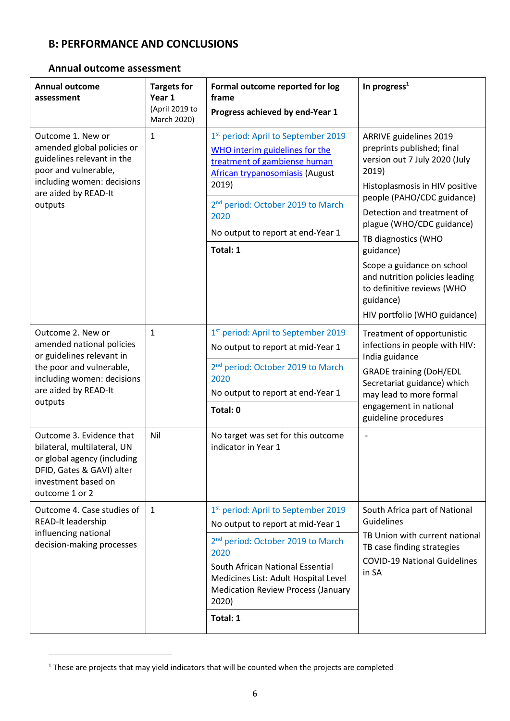# **B: PERFORMANCE AND CONCLUSIONS**

### **Annual outcome assessment**

| <b>Annual outcome</b><br>assessment                                                                                                                                      | <b>Targets for</b><br>Year 1<br>(April 2019 to<br>March 2020) | Formal outcome reported for log<br>frame<br>Progress achieved by end-Year 1                                                                                                                                                                                                                 | In progress <sup>1</sup>                                                                                                                                                                                                                                                                                                                                                                                 |
|--------------------------------------------------------------------------------------------------------------------------------------------------------------------------|---------------------------------------------------------------|---------------------------------------------------------------------------------------------------------------------------------------------------------------------------------------------------------------------------------------------------------------------------------------------|----------------------------------------------------------------------------------------------------------------------------------------------------------------------------------------------------------------------------------------------------------------------------------------------------------------------------------------------------------------------------------------------------------|
| Outcome 1. New or<br>amended global policies or<br>guidelines relevant in the<br>poor and vulnerable,<br>including women: decisions<br>are aided by READ-It<br>outputs   | $\mathbf{1}$                                                  | 1 <sup>st</sup> period: April to September 2019<br>WHO interim guidelines for the<br>treatment of gambiense human<br>African trypanosomiasis (August<br>2019)<br>2 <sup>nd</sup> period: October 2019 to March<br>2020<br>No output to report at end-Year 1<br>Total: 1                     | ARRIVE guidelines 2019<br>preprints published; final<br>version out 7 July 2020 (July<br>2019)<br>Histoplasmosis in HIV positive<br>people (PAHO/CDC guidance)<br>Detection and treatment of<br>plague (WHO/CDC guidance)<br>TB diagnostics (WHO<br>guidance)<br>Scope a guidance on school<br>and nutrition policies leading<br>to definitive reviews (WHO<br>guidance)<br>HIV portfolio (WHO guidance) |
| Outcome 2. New or<br>amended national policies<br>or guidelines relevant in<br>the poor and vulnerable,<br>including women: decisions<br>are aided by READ-It<br>outputs | $\mathbf{1}$                                                  | 1st period: April to September 2019<br>No output to report at mid-Year 1<br>2 <sup>nd</sup> period: October 2019 to March<br>2020<br>No output to report at end-Year 1<br>Total: 0                                                                                                          | Treatment of opportunistic<br>infections in people with HIV:<br>India guidance<br><b>GRADE training (DoH/EDL</b><br>Secretariat guidance) which<br>may lead to more formal<br>engagement in national<br>guideline procedures                                                                                                                                                                             |
| Outcome 3. Evidence that<br>bilateral, multilateral, UN<br>or global agency (including<br>DFID, Gates & GAVI) alter<br>investment based on<br>outcome 1 or 2             | Nil                                                           | No target was set for this outcome<br>indicator in Year 1                                                                                                                                                                                                                                   |                                                                                                                                                                                                                                                                                                                                                                                                          |
| Outcome 4. Case studies of<br>READ-It leadership<br>influencing national<br>decision-making processes                                                                    | $\mathbf{1}$                                                  | 1 <sup>st</sup> period: April to September 2019<br>No output to report at mid-Year 1<br>2 <sup>nd</sup> period: October 2019 to March<br>2020<br>South African National Essential<br>Medicines List: Adult Hospital Level<br><b>Medication Review Process (January</b><br>2020)<br>Total: 1 | South Africa part of National<br>Guidelines<br>TB Union with current national<br>TB case finding strategies<br><b>COVID-19 National Guidelines</b><br>in SA                                                                                                                                                                                                                                              |

<sup>&</sup>lt;sup>1</sup> These are projects that may yield indicators that will be counted when the projects are completed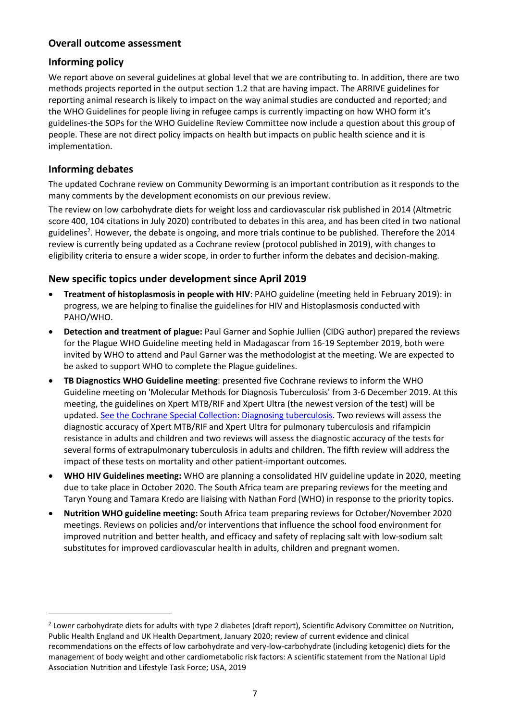### **Overall outcome assessment**

### **Informing policy**

We report above on several guidelines at global level that we are contributing to. In addition, there are two methods projects reported in the output section 1.2 that are having impact. The ARRIVE guidelines for reporting animal research is likely to impact on the way animal studies are conducted and reported; and the WHO Guidelines for people living in refugee camps is currently impacting on how WHO form it's guidelines-the SOPs for the WHO Guideline Review Committee now include a question about this group of people. These are not direct policy impacts on health but impacts on public health science and it is implementation.

# **Informing debates**

The updated Cochrane review on Community Deworming is an important contribution as it responds to the many comments by the development economists on our previous review.

The review on low carbohydrate diets for weight loss and cardiovascular risk published in 2014 (Altmetric score 400, 104 citations in July 2020) contributed to debates in this area, and has been cited in two national guidelines<sup>2</sup>. However, the debate is ongoing, and more trials continue to be published. Therefore the 2014 review is currently being updated as a Cochrane review (protocol published in 2019), with changes to eligibility criteria to ensure a wider scope, in order to further inform the debates and decision-making.

# **New specific topics under development since April 2019**

- **Treatment of histoplasmosis in people with HIV**: PAHO guideline (meeting held in February 2019): in progress, we are helping to finalise the guidelines for HIV and Histoplasmosis conducted with PAHO/WHO.
- **Detection and treatment of plague:** Paul Garner and Sophie Jullien (CIDG author) prepared the reviews for the Plague WHO Guideline meeting held in Madagascar from 16-19 September 2019, both were invited by WHO to attend and Paul Garner was the methodologist at the meeting. We are expected to be asked to support WHO to complete the Plague guidelines.
- **TB Diagnostics WHO Guideline meeting**: presented five Cochrane reviews to inform the WHO Guideline meeting on 'Molecular Methods for Diagnosis Tuberculosis' from 3-6 December 2019. At this meeting, the guidelines on Xpert MTB/RIF and Xpert Ultra (the newest version of the test) will be updated. See the [Cochrane Special Collection:](https://cidg.cochrane.org/news/diagnosing-tuberculosis-cochrane-special-collection) Diagnosing tuberculosis. Two reviews will assess the diagnostic accuracy of Xpert MTB/RIF and Xpert Ultra for pulmonary tuberculosis and rifampicin resistance in adults and children and two reviews will assess the diagnostic accuracy of the tests for several forms of extrapulmonary tuberculosis in adults and children. The fifth review will address the impact of these tests on mortality and other patient-important outcomes.
- **WHO HIV Guidelines meeting:** WHO are planning a consolidated HIV guideline update in 2020, meeting due to take place in October 2020. The South Africa team are preparing reviews for the meeting and Taryn Young and Tamara Kredo are liaising with Nathan Ford (WHO) in response to the priority topics.
- **Nutrition WHO guideline meeting:** South Africa team preparing reviews for October/November 2020 meetings. Reviews on policies and/or interventions that influence the school food environment for improved nutrition and better health, and efficacy and safety of replacing salt with low-sodium salt substitutes for improved cardiovascular health in adults, children and pregnant women.

<sup>&</sup>lt;sup>2</sup> Lower carbohydrate diets for adults with type 2 diabetes (draft report), Scientific Advisory Committee on Nutrition, Public Health England and UK Health Department, January 2020; review of current evidence and clinical recommendations on the effects of low carbohydrate and very-low-carbohydrate (including ketogenic) diets for the management of body weight and other cardiometabolic risk factors: A scientific statement from the National Lipid Association Nutrition and Lifestyle Task Force; USA, 2019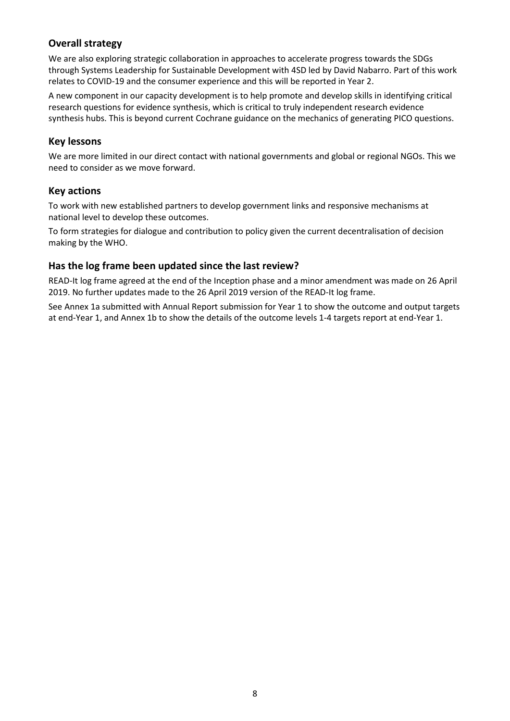# **Overall strategy**

We are also exploring strategic collaboration in approaches to accelerate progress towards the SDGs through Systems Leadership for Sustainable Development with 4SD led by David Nabarro. Part of this work relates to COVID-19 and the consumer experience and this will be reported in Year 2.

A new component in our capacity development is to help promote and develop skills in identifying critical research questions for evidence synthesis, which is critical to truly independent research evidence synthesis hubs. This is beyond current Cochrane guidance on the mechanics of generating PICO questions.

# **Key lessons**

We are more limited in our direct contact with national governments and global or regional NGOs. This we need to consider as we move forward.

### **Key actions**

To work with new established partners to develop government links and responsive mechanisms at national level to develop these outcomes.

To form strategies for dialogue and contribution to policy given the current decentralisation of decision making by the WHO.

# **Has the log frame been updated since the last review?**

READ-It log frame agreed at the end of the Inception phase and a minor amendment was made on 26 April 2019. No further updates made to the 26 April 2019 version of the READ-It log frame.

See Annex 1a submitted with Annual Report submission for Year 1 to show the outcome and output targets at end-Year 1, and Annex 1b to show the details of the outcome levels 1-4 targets report at end-Year 1.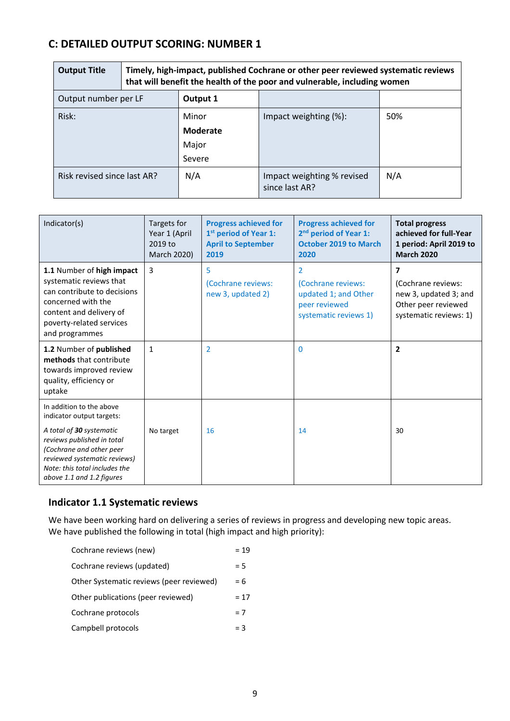# **C: DETAILED OUTPUT SCORING: NUMBER 1**

| <b>Output Title</b>         | Timely, high-impact, published Cochrane or other peer reviewed systematic reviews<br>that will benefit the health of the poor and vulnerable, including women |                                             |                                              |     |
|-----------------------------|---------------------------------------------------------------------------------------------------------------------------------------------------------------|---------------------------------------------|----------------------------------------------|-----|
| Output number per LF        |                                                                                                                                                               | Output 1                                    |                                              |     |
| Risk:                       |                                                                                                                                                               | Minor<br><b>Moderate</b><br>Major<br>Severe | Impact weighting (%):                        | 50% |
| Risk revised since last AR? |                                                                                                                                                               | N/A                                         | Impact weighting % revised<br>since last AR? | N/A |

| Indicator(s)                                                                                                                                                                                                                              | Targets for<br>Year 1 (April<br>2019 to<br>March 2020) | <b>Progress achieved for</b><br>1 <sup>st</sup> period of Year 1:<br><b>April to September</b><br>2019 | <b>Progress achieved for</b><br>2 <sup>nd</sup> period of Year 1:<br><b>October 2019 to March</b><br>2020 | <b>Total progress</b><br>achieved for full-Year<br>1 period: April 2019 to<br><b>March 2020</b>                         |
|-------------------------------------------------------------------------------------------------------------------------------------------------------------------------------------------------------------------------------------------|--------------------------------------------------------|--------------------------------------------------------------------------------------------------------|-----------------------------------------------------------------------------------------------------------|-------------------------------------------------------------------------------------------------------------------------|
| 1.1 Number of high impact<br>systematic reviews that<br>can contribute to decisions<br>concerned with the<br>content and delivery of<br>poverty-related services<br>and programmes                                                        | $\overline{3}$                                         | 5<br>(Cochrane reviews:<br>new 3, updated 2)                                                           | 2<br>(Cochrane reviews:<br>updated 1; and Other<br>peer reviewed<br>systematic reviews 1)                 | $\overline{\mathbf{z}}$<br>(Cochrane reviews:<br>new 3, updated 3; and<br>Other peer reviewed<br>systematic reviews: 1) |
| 1.2 Number of published<br>methods that contribute<br>towards improved review<br>quality, efficiency or<br>uptake                                                                                                                         | $\mathbf{1}$                                           | $\overline{2}$                                                                                         | 0                                                                                                         | $\overline{2}$                                                                                                          |
| In addition to the above<br>indicator output targets:<br>A total of 30 systematic<br>reviews published in total<br>(Cochrane and other peer<br>reviewed systematic reviews)<br>Note: this total includes the<br>above 1.1 and 1.2 figures | No target                                              | 16                                                                                                     | 14                                                                                                        | 30                                                                                                                      |

# **Indicator 1.1 Systematic reviews**

We have been working hard on delivering a series of reviews in progress and developing new topic areas. We have published the following in total (high impact and high priority):

| Cochrane reviews (new)                   | $= 19$ |
|------------------------------------------|--------|
| Cochrane reviews (updated)               | $= 5$  |
| Other Systematic reviews (peer reviewed) | $= 6$  |
| Other publications (peer reviewed)       | $= 17$ |
| Cochrane protocols                       | $= 7$  |
| Campbell protocols                       | $=$ 3  |
|                                          |        |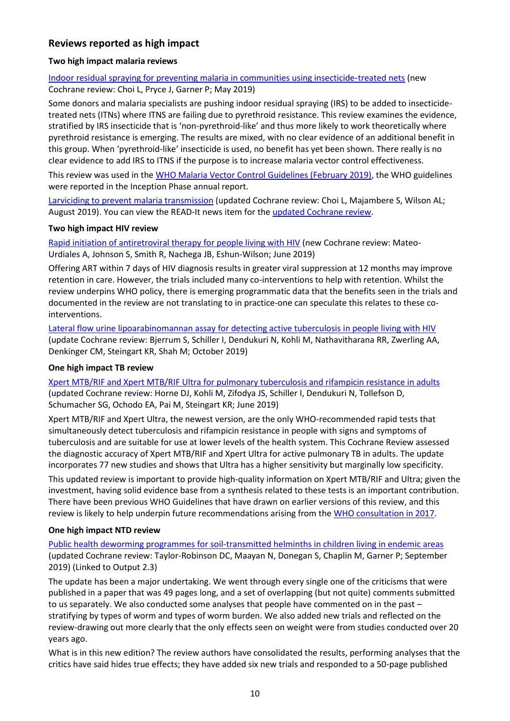# **Reviews reported as high impact**

### **Two high impact malaria reviews**

[Indoor residual spraying for preventing malaria in communities using insecticide](https://www.cochranelibrary.com/cdsr/doi/10.1002/14651858.CD012688.pub2/full)‐treated nets (new Cochrane review: Choi L, Pryce J, Garner P; May 2019)

Some donors and malaria specialists are pushing indoor residual spraying (IRS) to be added to insecticidetreated nets (ITNs) where ITNS are failing due to pyrethroid resistance. This review examines the evidence, stratified by IRS insecticide that is 'non-pyrethroid-like' and thus more likely to work theoretically where pyrethroid resistance is emerging. The results are mixed, with no clear evidence of an additional benefit in this group. When 'pyrethroid-like' insecticide is used, no benefit has yet been shown. There really is no clear evidence to add IRS to ITNS if the purpose is to increase malaria vector control effectiveness.

This review was used in the [WHO Malaria Vector Control Guidelines \(February 2019\),](https://apps.who.int/iris/bitstream/handle/10665/310862/9789241550499-eng.pdf?ua=1) the WHO guidelines were reported in the Inception Phase annual report.

[Larviciding to prevent malaria transmission](https://www.cochranelibrary.com/cdsr/doi/10.1002/14651858.CD012736.pub2/full) (updated Cochrane review: Choi L, Majambere S, Wilson AL; August 2019). You can view the READ-It news item for the [updated Cochrane review.](https://www.evidence4health.org/cochrane-reviews/larviciding-to-prevent-malaria-transmission)

#### **Two high impact HIV review**

[Rapid initiation of antiretroviral therapy for people living with HIV](https://www.cochranelibrary.com/cdsr/doi/10.1002/14651858.CD012962.pub2/full) (new Cochrane review: Mateo-Urdiales A, Johnson S, Smith R, Nachega JB, Eshun‐Wilson; June 2019)

Offering ART within 7 days of HIV diagnosis results in greater viral suppression at 12 months may improve retention in care. However, the trials included many co-interventions to help with retention. Whilst the review underpins WHO policy, there is emerging programmatic data that the benefits seen in the trials and documented in the review are not translating to in practice-one can speculate this relates to these cointerventions.

[Lateral flow urine lipoarabinomannan assay for detecting active tuberculosis in people living with HIV](https://www.cochranelibrary.com/cdsr/doi/10.1002/14651858.CD011420.pub3/full) (update Cochrane review: Bjerrum S, Schiller I, Dendukuri N, Kohli M, Nathavitharana RR, Zwerling AA, Denkinger CM, Steingart KR, Shah M; October 2019)

#### **One high impact TB review**

[Xpert MTB/RIF and Xpert MTB/RIF Ultra for pulmonary tuberculosis and rifampicin resistance in adults](https://www.cochranelibrary.com/cdsr/doi/10.1002/14651858.CD009593.pub4/full) (updated Cochrane review: Horne DJ, Kohli M, Zifodya JS, Schiller I, Dendukuri N, Tollefson D, Schumacher SG, Ochodo EA, Pai M, Steingart KR; June 2019)

Xpert MTB/RIF and Xpert Ultra, the newest version, are the only WHO-recommended rapid tests that simultaneously detect tuberculosis and rifampicin resistance in people with signs and symptoms of tuberculosis and are suitable for use at lower levels of the health system. This Cochrane Review assessed the diagnostic accuracy of Xpert MTB/RIF and Xpert Ultra for active pulmonary TB in adults. The update incorporates 77 new studies and shows that Ultra has a higher sensitivity but marginally low specificity.

This updated review is important to provide high-quality information on Xpert MTB/RIF and Ultra; given the investment, having solid evidence base from a synthesis related to these tests is an important contribution. There have been previous WHO Guidelines that have drawn on earlier versions of this review, and this review is likely to help underpin future recommendations arising from th[e WHO consultation in 2017.](https://protect-eu.mimecast.com/s/zTwSCrmrosmxXH4iIii?domain=who.int)

#### **One high impact NTD review**

Public health deworming programmes for soil-transmitted helminths in children living in endemic areas (updated Cochrane review: Taylor‐Robinson DC, Maayan N, Donegan S, Chaplin M, Garner P; September 2019) (Linked to Output 2.3)

The update has been a major undertaking. We went through every single one of the criticisms that were published in a paper that was 49 pages long, and a set of overlapping (but not quite) comments submitted to us separately. We also conducted some analyses that people have commented on in the past – stratifying by types of worm and types of worm burden. We also added new trials and reflected on the review-drawing out more clearly that the only effects seen on weight were from studies conducted over 20 years ago.

What is in this new edition? The review authors have consolidated the results, performing analyses that the critics have said hides true effects; they have added six new trials and responded to a 50-page published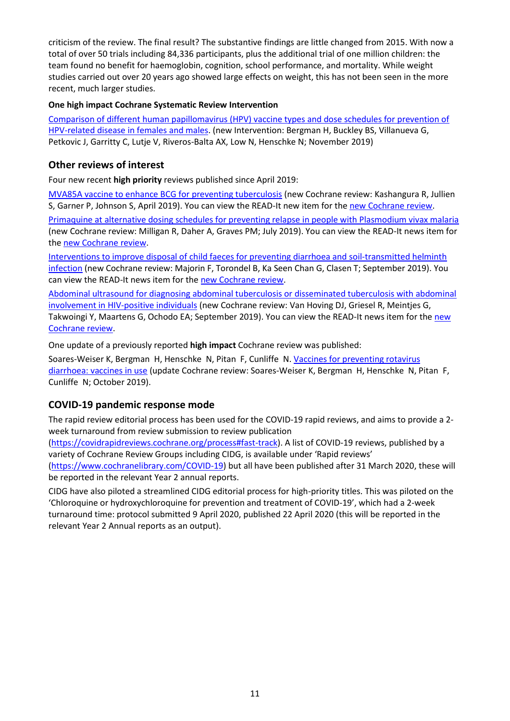criticism of the review. The final result? The substantive findings are little changed from 2015. With now a total of over 50 trials including 84,336 participants, plus the additional trial of one million children: the team found no benefit for haemoglobin, cognition, school performance, and mortality. While weight studies carried out over 20 years ago showed large effects on weight, this has not been seen in the more recent, much larger studies.

### **One high impact Cochrane Systematic Review Intervention**

[Comparison of different human papillomavirus \(HPV\) vaccine types and dose schedules for prevention of](https://www.cochranelibrary.com/cdsr/doi/10.1002/14651858.CD013479/full)  HPV-[related disease in females and males.](https://www.cochranelibrary.com/cdsr/doi/10.1002/14651858.CD013479/full) (new Intervention: Bergman H, Buckley BS, Villanueva G, Petkovic J, Garritty C, Lutje V, Riveros‐Balta AX, Low N, Henschke N; November 2019)

### **Other reviews of interest**

Four new recent **high priority** reviews published since April 2019:

[MVA85A vaccine to enhance BCG for preventing tuberculosis](https://www.cochranelibrary.com/cdsr/doi/10.1002/14651858.CD012915.pub2/full) (new Cochrane review: Kashangura R, Jullien S, Garner P, Johnson S, April 2019). You can view the READ-It new item for the [new Cochrane review.](https://www.evidence4health.org/cochrane-reviews/mva85a-vaccine-to-enhance-bcg-for-preventing-tuberculosis) [Primaquine at alternative dosing schedules for preventing relapse in people with](https://www.cochranelibrary.com/cdsr/doi/10.1002/14651858.CD012656.pub2/full) Plasmodium vivax malaria (new Cochrane review: Milligan R, Daher A, Graves PM; July 2019). You can view the READ-It news item for the [new Cochrane review.](https://www.evidence4health.org/cochrane-reviews/primaquine-at-alternative-dosing-schedules-for-preventing-relapse-in-people-with)

[Interventions to improve disposal of child faeces for preventing diarrhoea and soil‐transmitted helminth](https://www.cochranelibrary.com/cdsr/doi/10.1002/14651858.CD011055.pub2/full)  [infection](https://www.cochranelibrary.com/cdsr/doi/10.1002/14651858.CD011055.pub2/full) (new Cochrane review: Majorin F, Torondel B, Ka Seen Chan G, Clasen T; September 2019). You can view the READ-It news item for the [new Cochrane review.](https://www.evidence4health.org/cochrane-reviews/interventions-to-improve-disposal-of-child-faeces-for-preventing-diarrhoea-and-soil)

[Abdominal ultrasound for diagnosing abdominal tuberculosis or disseminated tuberculosis with abdominal](https://www.cochranelibrary.com/cdsr/doi/10.1002/14651858.CD012777.pub2/full)  [involvement in HIV‐positive individuals](https://www.cochranelibrary.com/cdsr/doi/10.1002/14651858.CD012777.pub2/full) (new Cochrane review: Van Hoving DJ, Griesel R, Meintjes G, Takwoingi Y, Maartens G, Ochodo EA; September 2019). You can view the READ-It news item for the [new](https://www.evidence4health.org/cochrane-reviews/abdominal-ultrasound-for-diagnosing-abdominal-tuberculosis-or-disseminated)  [Cochrane review.](https://www.evidence4health.org/cochrane-reviews/abdominal-ultrasound-for-diagnosing-abdominal-tuberculosis-or-disseminated)

One update of a previously reported **high impact** Cochrane review was published:

Soares‐Weiser K, Bergman H, Henschke N, Pitan F, Cunliffe N. [Vaccines for preventing rotavirus](https://www.cochranelibrary.com/cdsr/doi/10.1002/14651858.CD008521.pub5/full)  [diarrhoea: vaccines in use](https://www.cochranelibrary.com/cdsr/doi/10.1002/14651858.CD008521.pub5/full) (update Cochrane review: Soares‐Weiser K, Bergman H, Henschke N, Pitan F, Cunliffe N; October 2019).

# **COVID-19 pandemic response mode**

The rapid review editorial process has been used for the COVID-19 rapid reviews, and aims to provide a 2 week turnaround from review submission to review publication

[\(https://covidrapidreviews.cochrane.org/process#fast-track\)](https://covidrapidreviews.cochrane.org/process#fast-track). A list of COVID-19 reviews, published by a variety of Cochrane Review Groups including CIDG, is available under 'Rapid reviews' [\(https://www.cochranelibrary.com/COVID-19\)](https://www.cochranelibrary.com/covid-19) but all have been published after 31 March 2020, these will be reported in the relevant Year 2 annual reports.

CIDG have also piloted a streamlined CIDG editorial process for high-priority titles. This was piloted on the 'Chloroquine or hydroxychloroquine for prevention and treatment of COVID‐19', which had a 2-week turnaround time: protocol submitted 9 April 2020, published 22 April 2020 (this will be reported in the relevant Year 2 Annual reports as an output).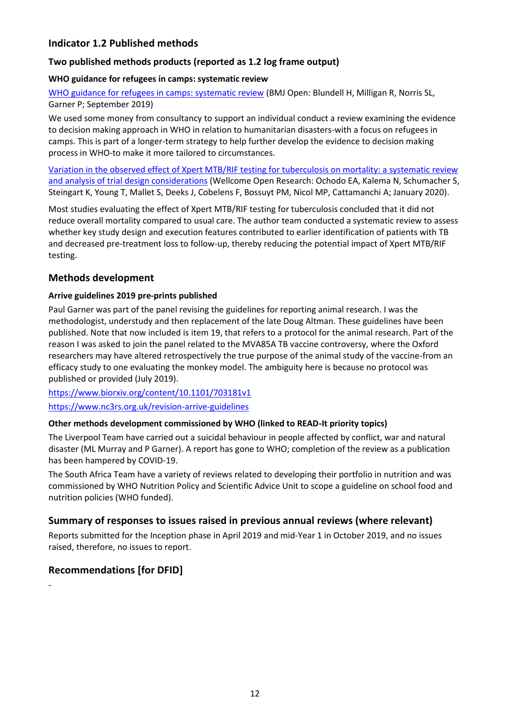# **Indicator 1.2 Published methods**

### **Two published methods products (reported as 1.2 log frame output)**

### **WHO guidance for refugees in camps: systematic review**

[WHO guidance for refugees in camps: systematic review](https://bmjopen.bmj.com/content/bmjopen/9/9/e027094.full.pdf) (BMJ Open: Blundell H, Milligan R, Norris SL, Garner P; September 2019)

We used some money from consultancy to support an individual conduct a review examining the evidence to decision making approach in WHO in relation to humanitarian disasters-with a focus on refugees in camps. This is part of a longer-term strategy to help further develop the evidence to decision making process in WHO-to make it more tailored to circumstances.

[Variation in the observed effect of Xpert MTB/RIF testing for tuberculosis on mortality: a systematic review](https://wellcomeopenresearch.org/articles/4-173/v1)  [and analysis of trial design considerations](https://wellcomeopenresearch.org/articles/4-173/v1) (Wellcome Open Research: Ochodo EA, Kalema N, Schumacher S, Steingart K, Young T, Mallet S, Deeks J, Cobelens F, Bossuyt PM, Nicol MP, Cattamanchi A; January 2020).

Most studies evaluating the effect of Xpert MTB/RIF testing for tuberculosis concluded that it did not reduce overall mortality compared to usual care. The author team conducted a systematic review to assess whether key study design and execution features contributed to earlier identification of patients with TB and decreased pre-treatment loss to follow-up, thereby reducing the potential impact of Xpert MTB/RIF testing.

### **Methods development**

### **Arrive guidelines 2019 pre-prints published**

Paul Garner was part of the panel revising the guidelines for reporting animal research. I was the methodologist, understudy and then replacement of the late Doug Altman. These guidelines have been published. Note that now included is item 19, that refers to a protocol for the animal research. Part of the reason I was asked to join the panel related to the MVA85A TB vaccine controversy, where the Oxford researchers may have altered retrospectively the true purpose of the animal study of the vaccine-from an efficacy study to one evaluating the monkey model. The ambiguity here is because no protocol was published or provided (July 2019).

<https://www.biorxiv.org/content/10.1101/703181v1> <https://www.nc3rs.org.uk/revision-arrive-guidelines>

### **Other methods development commissioned by WHO (linked to READ-It priority topics)**

The Liverpool Team have carried out a suicidal behaviour in people affected by conflict, war and natural disaster (ML Murray and P Garner). A report has gone to WHO; completion of the review as a publication has been hampered by COVID-19.

The South Africa Team have a variety of reviews related to developing their portfolio in nutrition and was commissioned by WHO Nutrition Policy and Scientific Advice Unit to scope a guideline on school food and nutrition policies (WHO funded).

# **Summary of responses to issues raised in previous annual reviews (where relevant)**

Reports submitted for the Inception phase in April 2019 and mid-Year 1 in October 2019, and no issues raised, therefore, no issues to report.

# **Recommendations [for DFID]**

-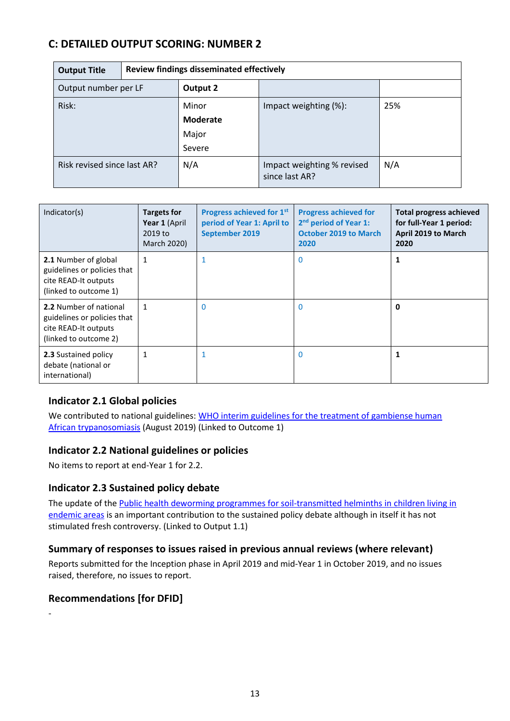# **C: DETAILED OUTPUT SCORING: NUMBER 2**

| <b>Output Title</b>         |  | Review findings disseminated effectively |                                              |     |  |
|-----------------------------|--|------------------------------------------|----------------------------------------------|-----|--|
| Output number per LF        |  | Output 2                                 |                                              |     |  |
| Risk:                       |  | Minor<br><b>Moderate</b><br>Major        | Impact weighting (%):                        | 25% |  |
|                             |  | Severe                                   |                                              |     |  |
| Risk revised since last AR? |  | N/A                                      | Impact weighting % revised<br>since last AR? | N/A |  |

| Indicator(s)                                                                                           | <b>Targets for</b><br>Year 1 (April<br>2019 to<br>March 2020) | Progress achieved for 1st<br>period of Year 1: April to<br>September 2019 | <b>Progress achieved for</b><br>2 <sup>nd</sup> period of Year 1:<br><b>October 2019 to March</b><br>2020 | <b>Total progress achieved</b><br>for full-Year 1 period:<br>April 2019 to March<br>2020 |
|--------------------------------------------------------------------------------------------------------|---------------------------------------------------------------|---------------------------------------------------------------------------|-----------------------------------------------------------------------------------------------------------|------------------------------------------------------------------------------------------|
| 2.1 Number of global<br>guidelines or policies that<br>cite READ-It outputs<br>(linked to outcome 1)   | 1                                                             | $\mathbf{1}$                                                              | $\mathbf{0}$                                                                                              | 1                                                                                        |
| 2.2 Number of national<br>guidelines or policies that<br>cite READ-It outputs<br>(linked to outcome 2) |                                                               | 0                                                                         | $\mathbf{0}$                                                                                              | 0                                                                                        |
| 2.3 Sustained policy<br>debate (national or<br>international)                                          | 1                                                             |                                                                           | $\mathbf 0$                                                                                               | 1                                                                                        |

# **Indicator 2.1 Global policies**

We contributed to national guidelines: WHO interim guidelines for the treatment of gambiense human [African trypanosomiasis](https://www.who.int/trypanosomiasis_african/resources/9789241550567/en/) (August 2019) (Linked to Outcome 1)

# **Indicator 2.2 National guidelines or policies**

No items to report at end-Year 1 for 2.2.

# **Indicator 2.3 Sustained policy debate**

The update of the Public health deworming programmes for soil-transmitted helminths in children living in [endemic areas](https://www.cochranelibrary.com/cdsr/doi/10.1002/14651858.CD000371.pub7/full) is an important contribution to the sustained policy debate although in itself it has not stimulated fresh controversy. (Linked to Output 1.1)

# **Summary of responses to issues raised in previous annual reviews (where relevant)**

Reports submitted for the Inception phase in April 2019 and mid-Year 1 in October 2019, and no issues raised, therefore, no issues to report.

# **Recommendations [for DFID]**

-

13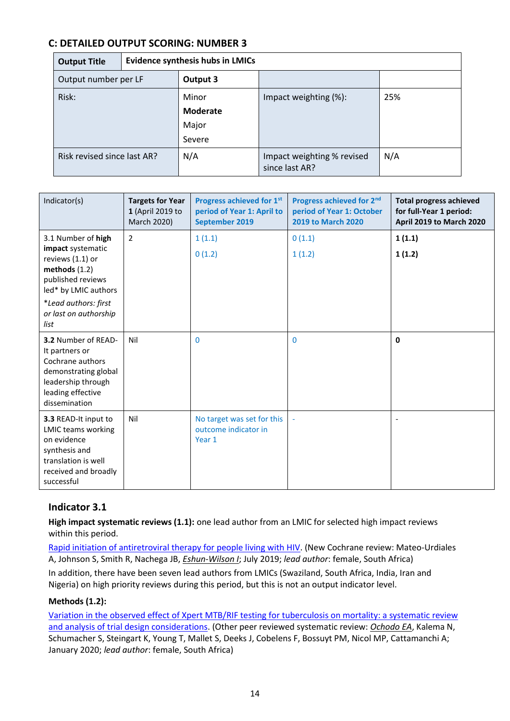# **C: DETAILED OUTPUT SCORING: NUMBER 3**

| <b>Output Title</b>         | <b>Evidence synthesis hubs in LMICs</b> |                                             |                                              |     |
|-----------------------------|-----------------------------------------|---------------------------------------------|----------------------------------------------|-----|
| Output number per LF        |                                         | Output 3                                    |                                              |     |
| Risk:                       |                                         | Minor<br><b>Moderate</b><br>Major<br>Severe | Impact weighting (%):                        | 25% |
| Risk revised since last AR? |                                         | N/A                                         | Impact weighting % revised<br>since last AR? | N/A |

| Indicator(s)                                                                                                                                   | <b>Targets for Year</b><br>1 (April 2019 to<br>March 2020) | Progress achieved for 1st<br>period of Year 1: April to<br>September 2019 | Progress achieved for 2nd<br>period of Year 1: October<br>2019 to March 2020 | <b>Total progress achieved</b><br>for full-Year 1 period:<br>April 2019 to March 2020 |
|------------------------------------------------------------------------------------------------------------------------------------------------|------------------------------------------------------------|---------------------------------------------------------------------------|------------------------------------------------------------------------------|---------------------------------------------------------------------------------------|
| 3.1 Number of high<br>impact systematic<br>reviews (1.1) or<br>methods $(1.2)$<br>published reviews<br>led* by LMIC authors                    | $\overline{2}$                                             | 1(1.1)<br>0(1.2)                                                          | 0(1.1)<br>1(1.2)                                                             | 1(1.1)<br>1(1.2)                                                                      |
| *Lead authors: first<br>or last on authorship<br>list                                                                                          |                                                            |                                                                           |                                                                              |                                                                                       |
| 3.2 Number of READ-<br>It partners or<br>Cochrane authors<br>demonstrating global<br>leadership through<br>leading effective<br>dissemination  | Nil                                                        | 0                                                                         | $\mathbf{0}$                                                                 | $\mathbf{0}$                                                                          |
| 3.3 READ-It input to<br><b>LMIC teams working</b><br>on evidence<br>synthesis and<br>translation is well<br>received and broadly<br>successful | Nil                                                        | No target was set for this<br>outcome indicator in<br>Year 1              |                                                                              |                                                                                       |

# **Indicator 3.1**

**High impact systematic reviews (1.1):** one lead author from an LMIC for selected high impact reviews within this period.

[Rapid initiation of antiretroviral therapy for people living with HIV.](https://www.cochranelibrary.com/cdsr/doi/10.1002/14651858.CD012962.pub2/full) (New Cochrane review: Mateo‐Urdiales A, Johnson S, Smith R, Nachega JB, *Eshun‐Wilson I*; July 2019; *lead author*: female, South Africa)

In addition, there have been seven lead authors from LMICs (Swaziland, South Africa, India, Iran and Nigeria) on high priority reviews during this period, but this is not an output indicator level.

### **Methods (1.2):**

Variation in the observed effect of Xpert [MTB/RIF testing for tuberculosis on mortality: a systematic review](https://wellcomeopenresearch.org/articles/4-173/v1)  [and analysis of trial design considerations.](https://wellcomeopenresearch.org/articles/4-173/v1) (Other peer reviewed systematic review: *Ochodo EA*, Kalema N, Schumacher S, Steingart K, Young T, Mallet S, Deeks J, Cobelens F, Bossuyt PM, Nicol MP, Cattamanchi A; January 2020; *lead author*: female, South Africa)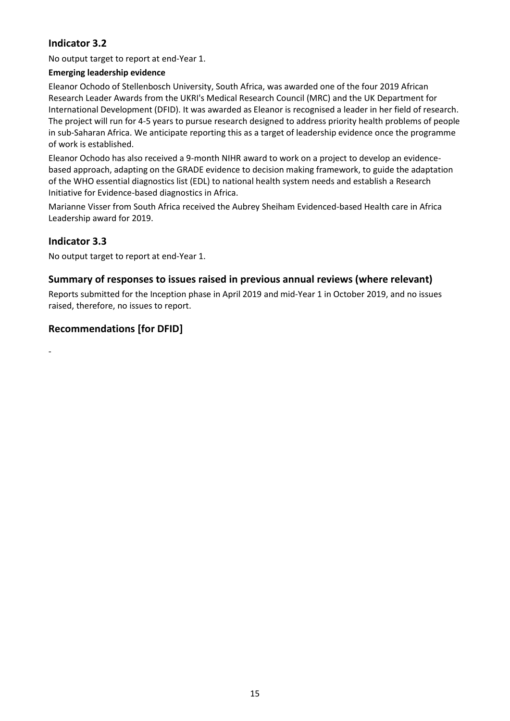# **Indicator 3.2**

No output target to report at end-Year 1.

### **Emerging leadership evidence**

Eleanor Ochodo of Stellenbosch University, South Africa, was awarded one of the four 2019 African Research Leader Awards from the UKRI's Medical Research Council (MRC) and the UK Department for International Development (DFID). It was awarded as Eleanor is recognised a leader in her field of research. The project will run for 4-5 years to pursue research designed to address priority health problems of people in sub-Saharan Africa. We anticipate reporting this as a target of leadership evidence once the programme of work is established.

Eleanor Ochodo has also received a 9-month NIHR award to work on a project to develop an evidencebased approach, adapting on the GRADE evidence to decision making framework, to guide the adaptation of the WHO essential diagnostics list (EDL) to national health system needs and establish a Research Initiative for Evidence-based diagnostics in Africa.

Marianne Visser from South Africa received the Aubrey Sheiham Evidenced-based Health care in Africa Leadership award for 2019.

# **Indicator 3.3**

No output target to report at end-Year 1.

# **Summary of responses to issues raised in previous annual reviews (where relevant)**

Reports submitted for the Inception phase in April 2019 and mid-Year 1 in October 2019, and no issues raised, therefore, no issues to report.

# **Recommendations [for DFID]**

-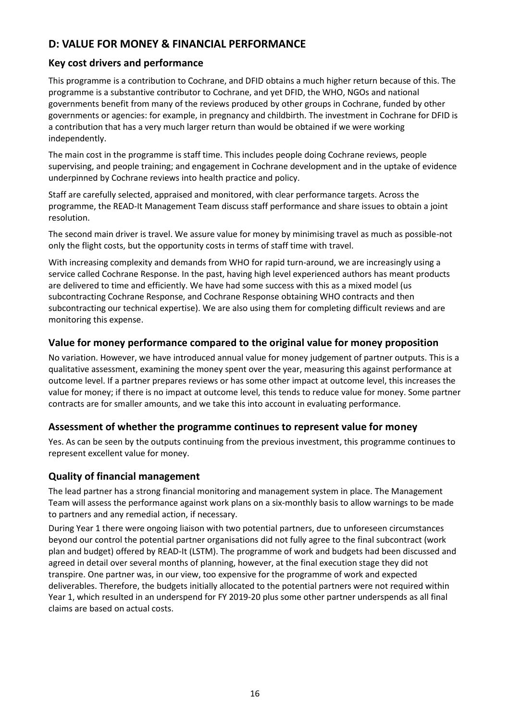# **D: VALUE FOR MONEY & FINANCIAL PERFORMANCE**

# **Key cost drivers and performance**

This programme is a contribution to Cochrane, and DFID obtains a much higher return because of this. The programme is a substantive contributor to Cochrane, and yet DFID, the WHO, NGOs and national governments benefit from many of the reviews produced by other groups in Cochrane, funded by other governments or agencies: for example, in pregnancy and childbirth. The investment in Cochrane for DFID is a contribution that has a very much larger return than would be obtained if we were working independently.

The main cost in the programme is staff time. This includes people doing Cochrane reviews, people supervising, and people training; and engagement in Cochrane development and in the uptake of evidence underpinned by Cochrane reviews into health practice and policy.

Staff are carefully selected, appraised and monitored, with clear performance targets. Across the programme, the READ-It Management Team discuss staff performance and share issues to obtain a joint resolution.

The second main driver is travel. We assure value for money by minimising travel as much as possible-not only the flight costs, but the opportunity costs in terms of staff time with travel.

With increasing complexity and demands from WHO for rapid turn-around, we are increasingly using a service called Cochrane Response. In the past, having high level experienced authors has meant products are delivered to time and efficiently. We have had some success with this as a mixed model (us subcontracting Cochrane Response, and Cochrane Response obtaining WHO contracts and then subcontracting our technical expertise). We are also using them for completing difficult reviews and are monitoring this expense.

# **Value for money performance compared to the original value for money proposition**

No variation. However, we have introduced annual value for money judgement of partner outputs. This is a qualitative assessment, examining the money spent over the year, measuring this against performance at outcome level. If a partner prepares reviews or has some other impact at outcome level, this increases the value for money; if there is no impact at outcome level, this tends to reduce value for money. Some partner contracts are for smaller amounts, and we take this into account in evaluating performance.

# **Assessment of whether the programme continues to represent value for money**

Yes. As can be seen by the outputs continuing from the previous investment, this programme continues to represent excellent value for money.

# **Quality of financial management**

The lead partner has a strong financial monitoring and management system in place. The Management Team will assess the performance against work plans on a six-monthly basis to allow warnings to be made to partners and any remedial action, if necessary.

During Year 1 there were ongoing liaison with two potential partners, due to unforeseen circumstances beyond our control the potential partner organisations did not fully agree to the final subcontract (work plan and budget) offered by READ-It (LSTM). The programme of work and budgets had been discussed and agreed in detail over several months of planning, however, at the final execution stage they did not transpire. One partner was, in our view, too expensive for the programme of work and expected deliverables. Therefore, the budgets initially allocated to the potential partners were not required within Year 1, which resulted in an underspend for FY 2019-20 plus some other partner underspends as all final claims are based on actual costs.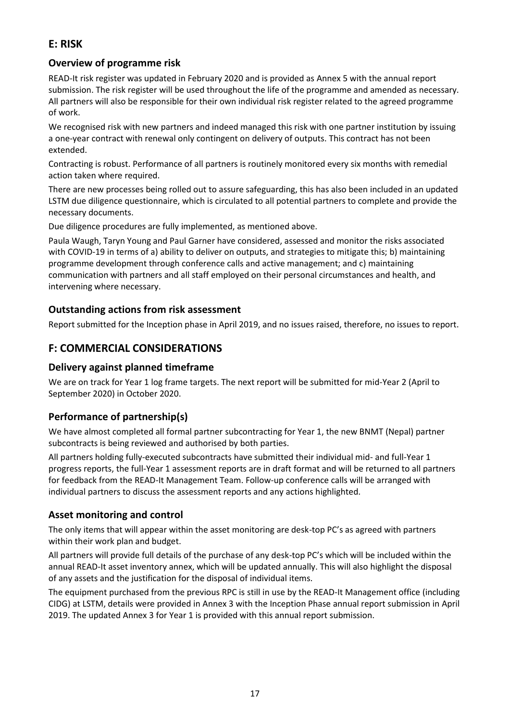# **E: RISK**

# **Overview of programme risk**

READ-It risk register was updated in February 2020 and is provided as Annex 5 with the annual report submission. The risk register will be used throughout the life of the programme and amended as necessary. All partners will also be responsible for their own individual risk register related to the agreed programme of work.

We recognised risk with new partners and indeed managed this risk with one partner institution by issuing a one-year contract with renewal only contingent on delivery of outputs. This contract has not been extended.

Contracting is robust. Performance of all partners is routinely monitored every six months with remedial action taken where required.

There are new processes being rolled out to assure safeguarding, this has also been included in an updated LSTM due diligence questionnaire, which is circulated to all potential partners to complete and provide the necessary documents.

Due diligence procedures are fully implemented, as mentioned above.

Paula Waugh, Taryn Young and Paul Garner have considered, assessed and monitor the risks associated with COVID-19 in terms of a) ability to deliver on outputs, and strategies to mitigate this; b) maintaining programme development through conference calls and active management; and c) maintaining communication with partners and all staff employed on their personal circumstances and health, and intervening where necessary.

# **Outstanding actions from risk assessment**

Report submitted for the Inception phase in April 2019, and no issues raised, therefore, no issues to report.

# **F: COMMERCIAL CONSIDERATIONS**

# **Delivery against planned timeframe**

We are on track for Year 1 log frame targets. The next report will be submitted for mid-Year 2 (April to September 2020) in October 2020.

# **Performance of partnership(s)**

We have almost completed all formal partner subcontracting for Year 1, the new BNMT (Nepal) partner subcontracts is being reviewed and authorised by both parties.

All partners holding fully-executed subcontracts have submitted their individual mid- and full-Year 1 progress reports, the full-Year 1 assessment reports are in draft format and will be returned to all partners for feedback from the READ-It Management Team. Follow-up conference calls will be arranged with individual partners to discuss the assessment reports and any actions highlighted.

# **Asset monitoring and control**

The only items that will appear within the asset monitoring are desk-top PC's as agreed with partners within their work plan and budget.

All partners will provide full details of the purchase of any desk-top PC's which will be included within the annual READ-It asset inventory annex, which will be updated annually. This will also highlight the disposal of any assets and the justification for the disposal of individual items.

The equipment purchased from the previous RPC is still in use by the READ-It Management office (including CIDG) at LSTM, details were provided in Annex 3 with the Inception Phase annual report submission in April 2019. The updated Annex 3 for Year 1 is provided with this annual report submission.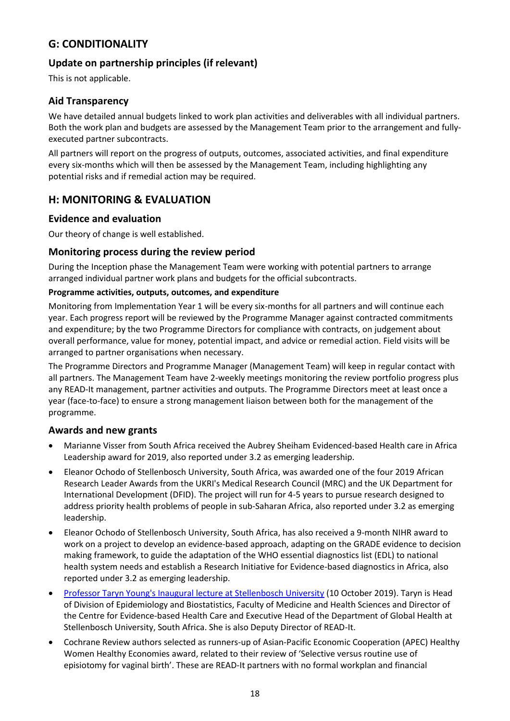# **G: CONDITIONALITY**

# **Update on partnership principles (if relevant)**

This is not applicable.

# **Aid Transparency**

We have detailed annual budgets linked to work plan activities and deliverables with all individual partners. Both the work plan and budgets are assessed by the Management Team prior to the arrangement and fullyexecuted partner subcontracts.

All partners will report on the progress of outputs, outcomes, associated activities, and final expenditure every six-months which will then be assessed by the Management Team, including highlighting any potential risks and if remedial action may be required.

# **H: MONITORING & EVALUATION**

### **Evidence and evaluation**

Our theory of change is well established.

### **Monitoring process during the review period**

During the Inception phase the Management Team were working with potential partners to arrange arranged individual partner work plans and budgets for the official subcontracts.

### **Programme activities, outputs, outcomes, and expenditure**

Monitoring from Implementation Year 1 will be every six-months for all partners and will continue each year. Each progress report will be reviewed by the Programme Manager against contracted commitments and expenditure; by the two Programme Directors for compliance with contracts, on judgement about overall performance, value for money, potential impact, and advice or remedial action. Field visits will be arranged to partner organisations when necessary.

The Programme Directors and Programme Manager (Management Team) will keep in regular contact with all partners. The Management Team have 2-weekly meetings monitoring the review portfolio progress plus any READ-It management, partner activities and outputs. The Programme Directors meet at least once a year (face-to-face) to ensure a strong management liaison between both for the management of the programme.

### **Awards and new grants**

- Marianne Visser from South Africa received the Aubrey Sheiham Evidenced-based Health care in Africa Leadership award for 2019, also reported under 3.2 as emerging leadership.
- Eleanor Ochodo of Stellenbosch University, South Africa, was awarded one of the four 2019 African Research Leader Awards from the UKRI's Medical Research Council (MRC) and the UK Department for International Development (DFID). The project will run for 4-5 years to pursue research designed to address priority health problems of people in sub-Saharan Africa, also reported under 3.2 as emerging leadership.
- Eleanor Ochodo of Stellenbosch University, South Africa, has also received a 9-month NIHR award to work on a project to develop an evidence-based approach, adapting on the GRADE evidence to decision making framework, to guide the adaptation of the WHO essential diagnostics list (EDL) to national health system needs and establish a Research Initiative for Evidence-based diagnostics in Africa, also reported under 3.2 as emerging leadership.
- [Professor Taryn Young's Inaugural lecture at Stellenbosch University](https://www.evidence4health.org/news/professor-taryn-youngs-inaugural-lecture-at-stellenbosch-university) (10 October 2019). Taryn is Head of Division of Epidemiology and Biostatistics, Faculty of Medicine and Health Sciences and Director of the Centre for Evidence-based Health Care and Executive Head of the Department of Global Health at Stellenbosch University, South Africa. She is also Deputy Director of READ-It.
- Cochrane Review authors selected as runners-up of Asian-Pacific Economic Cooperation (APEC) Healthy Women Healthy Economies award, related to their review of 'Selective versus routine use of episiotomy for vaginal birth'. These are READ-It partners with no formal workplan and financial